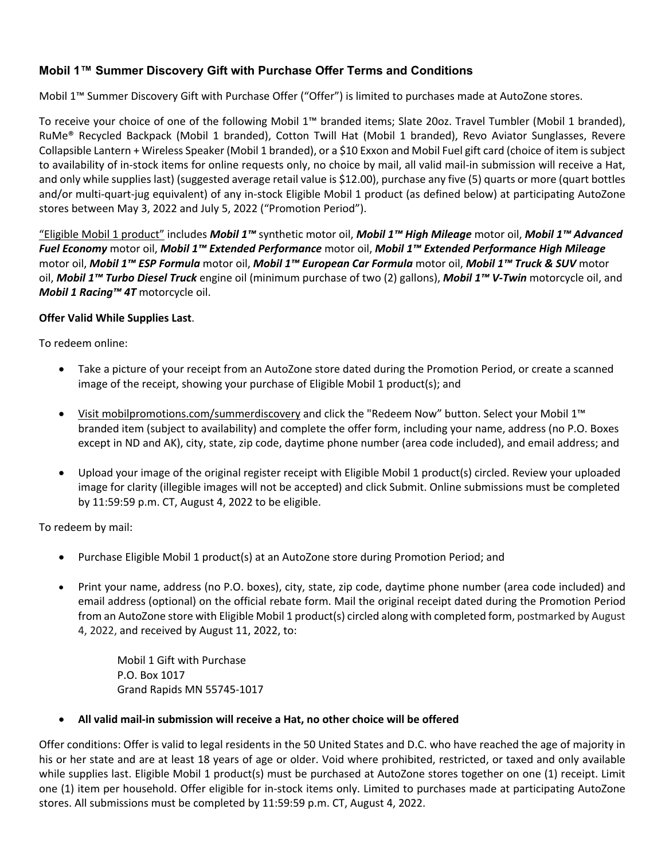## **Mobil 1™ Summer Discovery Gift with Purchase Offer Terms and Conditions**

Mobil 1™ Summer Discovery Gift with Purchase Offer ("Offer") is limited to purchases made at AutoZone stores.

To receive your choice of one of the following Mobil 1™ branded items; Slate 20oz. Travel Tumbler (Mobil 1 branded), RuMe® Recycled Backpack (Mobil 1 branded), Cotton Twill Hat (Mobil 1 branded), Revo Aviator Sunglasses, Revere Collapsible Lantern + Wireless Speaker (Mobil 1 branded), or a \$10 Exxon and Mobil Fuel gift card (choice of item is subject to availability of in-stock items for online requests only, no choice by mail, all valid mail-in submission will receive a Hat, and only while supplies last) (suggested average retail value is \$12.00), purchase any five (5) quarts or more (quart bottles and/or multi-quart-jug equivalent) of any in-stock Eligible Mobil 1 product (as defined below) at participating AutoZone stores between May 3, 2022 and July 5, 2022 ("Promotion Period").

"Eligible Mobil 1 product" includes *Mobil 1™* synthetic motor oil, *Mobil 1™ High Mileage* motor oil, *Mobil 1™ Advanced Fuel Economy* motor oil, *Mobil 1™ Extended Performance* motor oil, *Mobil 1™ Extended Performance High Mileage* motor oil, *Mobil 1™ ESP Formula* motor oil, *Mobil 1™ European Car Formula* motor oil, *Mobil 1™ Truck & SUV* motor oil, *Mobil 1™ Turbo Diesel Truck* engine oil (minimum purchase of two (2) gallons), *Mobil 1™ V-Twin* motorcycle oil, and *Mobil 1 Racing™ 4T* motorcycle oil.

## **Offer Valid While Supplies Last**.

To redeem online:

- Take a picture of your receipt from an AutoZone store dated during the Promotion Period, or create a scanned image of the receipt, showing your purchase of Eligible Mobil 1 product(s); and
- Visit mobilpromotions.com/summerdiscovery and click the "Redeem Now" button. Select your Mobil 1™ branded item (subject to availability) and complete the offer form, including your name, address (no P.O. Boxes except in ND and AK), city, state, zip code, daytime phone number (area code included), and email address; and
- Upload your image of the original register receipt with Eligible Mobil 1 product(s) circled. Review your uploaded image for clarity (illegible images will not be accepted) and click Submit. Online submissions must be completed by 11:59:59 p.m. CT, August 4, 2022 to be eligible.

To redeem by mail:

- Purchase Eligible Mobil 1 product(s) at an AutoZone store during Promotion Period; and
- Print your name, address (no P.O. boxes), city, state, zip code, daytime phone number (area code included) and email address (optional) on the official rebate form. Mail the original receipt dated during the Promotion Period from an AutoZone store with Eligible Mobil 1 product(s) circled along with completed form, postmarked by August 4, 2022, and received by August 11, 2022, to:

Mobil 1 Gift with Purchase P.O. Box 1017 Grand Rapids MN 55745-1017

• **All valid mail-in submission will receive a Hat, no other choice will be offered** 

Offer conditions: Offer is valid to legal residents in the 50 United States and D.C. who have reached the age of majority in his or her state and are at least 18 years of age or older. Void where prohibited, restricted, or taxed and only available while supplies last. Eligible Mobil 1 product(s) must be purchased at AutoZone stores together on one (1) receipt. Limit one (1) item per household. Offer eligible for in-stock items only. Limited to purchases made at participating AutoZone stores. All submissions must be completed by 11:59:59 p.m. CT, August 4, 2022.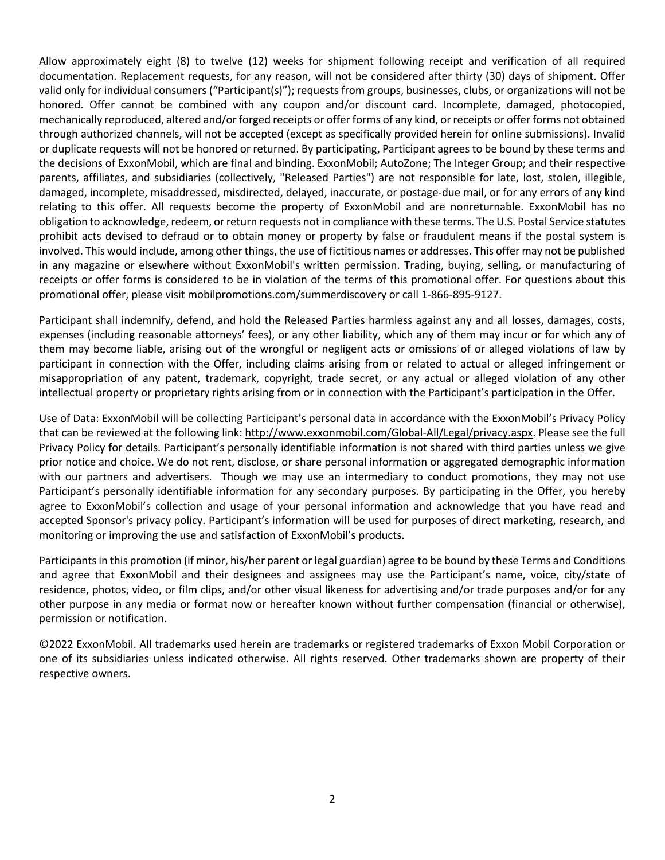Allow approximately eight (8) to twelve (12) weeks for shipment following receipt and verification of all required documentation. Replacement requests, for any reason, will not be considered after thirty (30) days of shipment. Offer valid only for individual consumers ("Participant(s)"); requests from groups, businesses, clubs, or organizations will not be honored. Offer cannot be combined with any coupon and/or discount card. Incomplete, damaged, photocopied, mechanically reproduced, altered and/or forged receipts or offer forms of any kind, or receipts or offer forms not obtained through authorized channels, will not be accepted (except as specifically provided herein for online submissions). Invalid or duplicate requests will not be honored or returned. By participating, Participant agrees to be bound by these terms and the decisions of ExxonMobil, which are final and binding. ExxonMobil; AutoZone; The Integer Group; and their respective parents, affiliates, and subsidiaries (collectively, "Released Parties") are not responsible for late, lost, stolen, illegible, damaged, incomplete, misaddressed, misdirected, delayed, inaccurate, or postage-due mail, or for any errors of any kind relating to this offer. All requests become the property of ExxonMobil and are nonreturnable. ExxonMobil has no obligation to acknowledge, redeem, or return requests not in compliance with these terms. The U.S. Postal Service statutes prohibit acts devised to defraud or to obtain money or property by false or fraudulent means if the postal system is involved. This would include, among other things, the use of fictitious names or addresses. This offer may not be published in any magazine or elsewhere without ExxonMobil's written permission. Trading, buying, selling, or manufacturing of receipts or offer forms is considered to be in violation of the terms of this promotional offer. For questions about this promotional offer, please visit mobilpromotions.com/summerdiscovery or call 1-866-895-9127.

Participant shall indemnify, defend, and hold the Released Parties harmless against any and all losses, damages, costs, expenses (including reasonable attorneys' fees), or any other liability, which any of them may incur or for which any of them may become liable, arising out of the wrongful or negligent acts or omissions of or alleged violations of law by participant in connection with the Offer, including claims arising from or related to actual or alleged infringement or misappropriation of any patent, trademark, copyright, trade secret, or any actual or alleged violation of any other intellectual property or proprietary rights arising from or in connection with the Participant's participation in the Offer.

Use of Data: ExxonMobil will be collecting Participant's personal data in accordance with the ExxonMobil's Privacy Policy that can be reviewed at the following link: http://www.exxonmobil.com/Global-All/Legal/privacy.aspx. Please see the full Privacy Policy for details. Participant's personally identifiable information is not shared with third parties unless we give prior notice and choice. We do not rent, disclose, or share personal information or aggregated demographic information with our partners and advertisers. Though we may use an intermediary to conduct promotions, they may not use Participant's personally identifiable information for any secondary purposes. By participating in the Offer, you hereby agree to ExxonMobil's collection and usage of your personal information and acknowledge that you have read and accepted Sponsor's privacy policy. Participant's information will be used for purposes of direct marketing, research, and monitoring or improving the use and satisfaction of ExxonMobil's products.

Participants in this promotion (if minor, his/her parent or legal guardian) agree to be bound by these Terms and Conditions and agree that ExxonMobil and their designees and assignees may use the Participant's name, voice, city/state of residence, photos, video, or film clips, and/or other visual likeness for advertising and/or trade purposes and/or for any other purpose in any media or format now or hereafter known without further compensation (financial or otherwise), permission or notification.

©2022 ExxonMobil. All trademarks used herein are trademarks or registered trademarks of Exxon Mobil Corporation or one of its subsidiaries unless indicated otherwise. All rights reserved. Other trademarks shown are property of their respective owners.